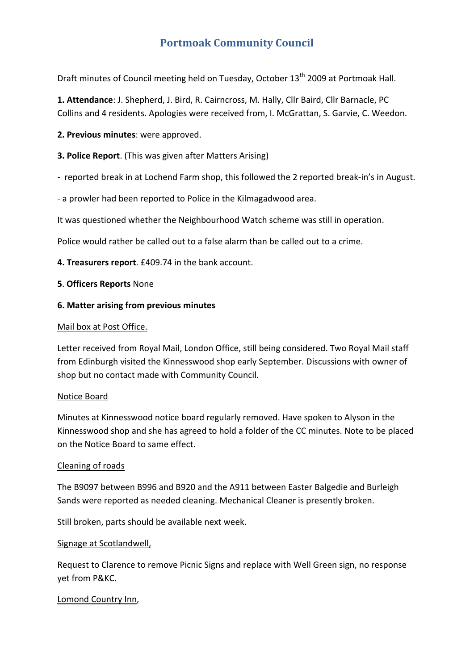# **Portmoak Community Council**

Draft minutes of Council meeting held on Tuesday, October 13<sup>th</sup> 2009 at Portmoak Hall.

**1. Attendance**: J. Shepherd, J. Bird, R. Cairncross, M. Hally, Cllr Baird, Cllr Barnacle, PC Collins and 4 residents. Apologies were received from, I. McGrattan, S. Garvie, C. Weedon.

**2. Previous minutes**: were approved.

### **3. Police Report**. (This was given after Matters Arising)

‐ reported break in at Lochend Farm shop, this followed the 2 reported break‐in's in August.

‐ a prowler had been reported to Police in the Kilmagadwood area.

It was questioned whether the Neighbourhood Watch scheme was still in operation.

Police would rather be called out to a false alarm than be called out to a crime.

**4. Treasurers report**. £409.74 in the bank account.

### **5**. **Officers Reports** None

### **6. Matter arising from previous minutes**

#### Mail box at Post Office.

Letter received from Royal Mail, London Office, still being considered. Two Royal Mail staff from Edinburgh visited the Kinnesswood shop early September. Discussions with owner of shop but no contact made with Community Council.

### Notice Board

Minutes at Kinnesswood notice board regularly removed. Have spoken to Alyson in the Kinnesswood shop and she has agreed to hold a folder of the CC minutes. Note to be placed on the Notice Board to same effect.

### Cleaning of roads

The B9097 between B996 and B920 and the A911 between Easter Balgedie and Burleigh Sands were reported as needed cleaning. Mechanical Cleaner is presently broken.

Still broken, parts should be available next week.

### Signage at Scotlandwell,

Request to Clarence to remove Picnic Signs and replace with Well Green sign, no response yet from P&KC.

### Lomond Country Inn,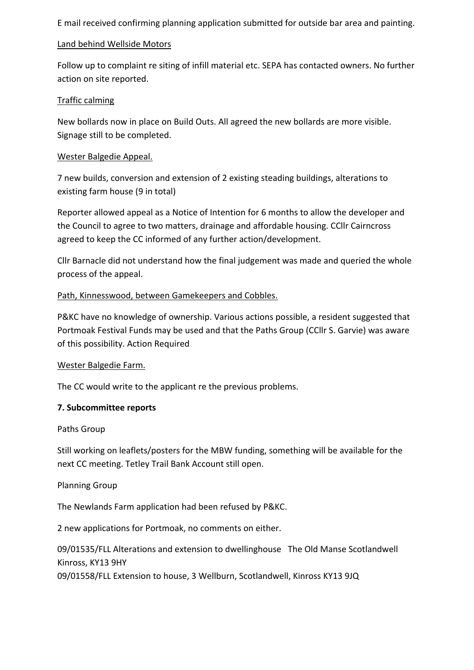E mail received confirming planning application submitted for outside bar area and painting.

# Land behind Wellside Motors

Follow up to complaint re siting of infill material etc. SEPA has contacted owners. No further action on site reported.

# Traffic calming

New bollards now in place on Build Outs. All agreed the new bollards are more visible. Signage still to be completed.

# Wester Balgedie Appeal.

7 new builds, conversion and extension of 2 existing steading buildings, alterations to existing farm house (9 in total)

Reporter allowed appeal as a Notice of Intention for 6 months to allow the developer and the Council to agree to two matters, drainage and affordable housing. CCllr Cairncross agreed to keep the CC informed of any further action/development.

Cllr Barnacle did not understand how the final judgement was made and queried the whole process of the appeal.

# Path, Kinnesswood, between Gamekeepers and Cobbles.

P&KC have no knowledge of ownership. Various actions possible, a resident suggested that Portmoak Festival Funds may be used and that the Paths Group (CCllr S. Garvie) was aware of this possibility. Action Required

# Wester Balgedie Farm.

The CC would write to the applicant re the previous problems.

# **7. Subcommittee reports**

# Paths Group

Still working on leaflets/posters for the MBW funding, something will be available for the next CC meeting. Tetley Trail Bank Account still open.

# Planning Group

The Newlands Farm application had been refused by P&KC.

2 new applications for Portmoak, no comments on either.

09/01535/FLL Alterations and extension to dwellinghouse The Old Manse Scotlandwell Kinross, KY13 9HY

09/01558/FLL Extension to house, 3 Wellburn, Scotlandwell, Kinross KY13 9JQ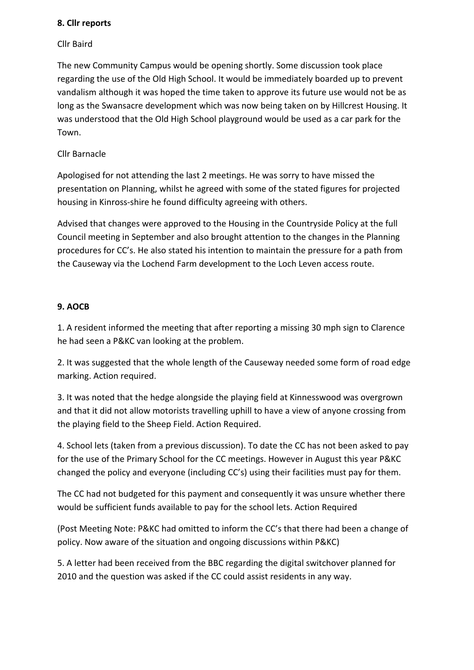### **8. Cllr reports**

### Cllr Baird

The new Community Campus would be opening shortly. Some discussion took place regarding the use of the Old High School. It would be immediately boarded up to prevent vandalism although it was hoped the time taken to approve its future use would not be as long as the Swansacre development which was now being taken on by Hillcrest Housing. It was understood that the Old High School playground would be used as a car park for the Town.

# Cllr Barnacle

Apologised for not attending the last 2 meetings. He was sorry to have missed the presentation on Planning, whilst he agreed with some of the stated figures for projected housing in Kinross‐shire he found difficulty agreeing with others.

Advised that changes were approved to the Housing in the Countryside Policy at the full Council meeting in September and also brought attention to the changes in the Planning procedures for CC's. He also stated his intention to maintain the pressure for a path from the Causeway via the Lochend Farm development to the Loch Leven access route.

### **9. AOCB**

1. A resident informed the meeting that after reporting a missing 30 mph sign to Clarence he had seen a P&KC van looking at the problem.

2. It was suggested that the whole length of the Causeway needed some form of road edge marking. Action required.

3. It was noted that the hedge alongside the playing field at Kinnesswood was overgrown and that it did not allow motorists travelling uphill to have a view of anyone crossing from the playing field to the Sheep Field. Action Required.

4. School lets (taken from a previous discussion). To date the CC has not been asked to pay for the use of the Primary School for the CC meetings. However in August this year P&KC changed the policy and everyone (including CC's) using their facilities must pay for them.

The CC had not budgeted for this payment and consequently it was unsure whether there would be sufficient funds available to pay for the school lets. Action Required

(Post Meeting Note: P&KC had omitted to inform the CC's that there had been a change of policy. Now aware of the situation and ongoing discussions within P&KC)

5. A letter had been received from the BBC regarding the digital switchover planned for 2010 and the question was asked if the CC could assist residents in any way.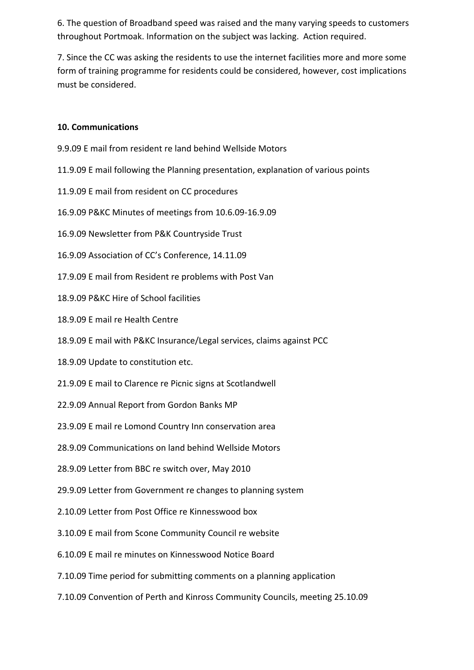6. The question of Broadband speed was raised and the many varying speeds to customers throughout Portmoak. Information on the subject was lacking. Action required.

7. Since the CC was asking the residents to use the internet facilities more and more some form of training programme for residents could be considered, however, cost implications must be considered.

# **10. Communications**

- 9.9.09 E mail from resident re land behind Wellside Motors
- 11.9.09 E mail following the Planning presentation, explanation of various points
- 11.9.09 E mail from resident on CC procedures
- 16.9.09 P&KC Minutes of meetings from 10.6.09‐16.9.09
- 16.9.09 Newsletter from P&K Countryside Trust
- 16.9.09 Association of CC's Conference, 14.11.09
- 17.9.09 E mail from Resident re problems with Post Van
- 18.9.09 P&KC Hire of School facilities
- 18.9.09 E mail re Health Centre
- 18.9.09 E mail with P&KC Insurance/Legal services, claims against PCC
- 18.9.09 Update to constitution etc.
- 21.9.09 E mail to Clarence re Picnic signs at Scotlandwell
- 22.9.09 Annual Report from Gordon Banks MP
- 23.9.09 E mail re Lomond Country Inn conservation area
- 28.9.09 Communications on land behind Wellside Motors
- 28.9.09 Letter from BBC re switch over, May 2010
- 29.9.09 Letter from Government re changes to planning system
- 2.10.09 Letter from Post Office re Kinnesswood box
- 3.10.09 E mail from Scone Community Council re website
- 6.10.09 E mail re minutes on Kinnesswood Notice Board
- 7.10.09 Time period for submitting comments on a planning application
- 7.10.09 Convention of Perth and Kinross Community Councils, meeting 25.10.09